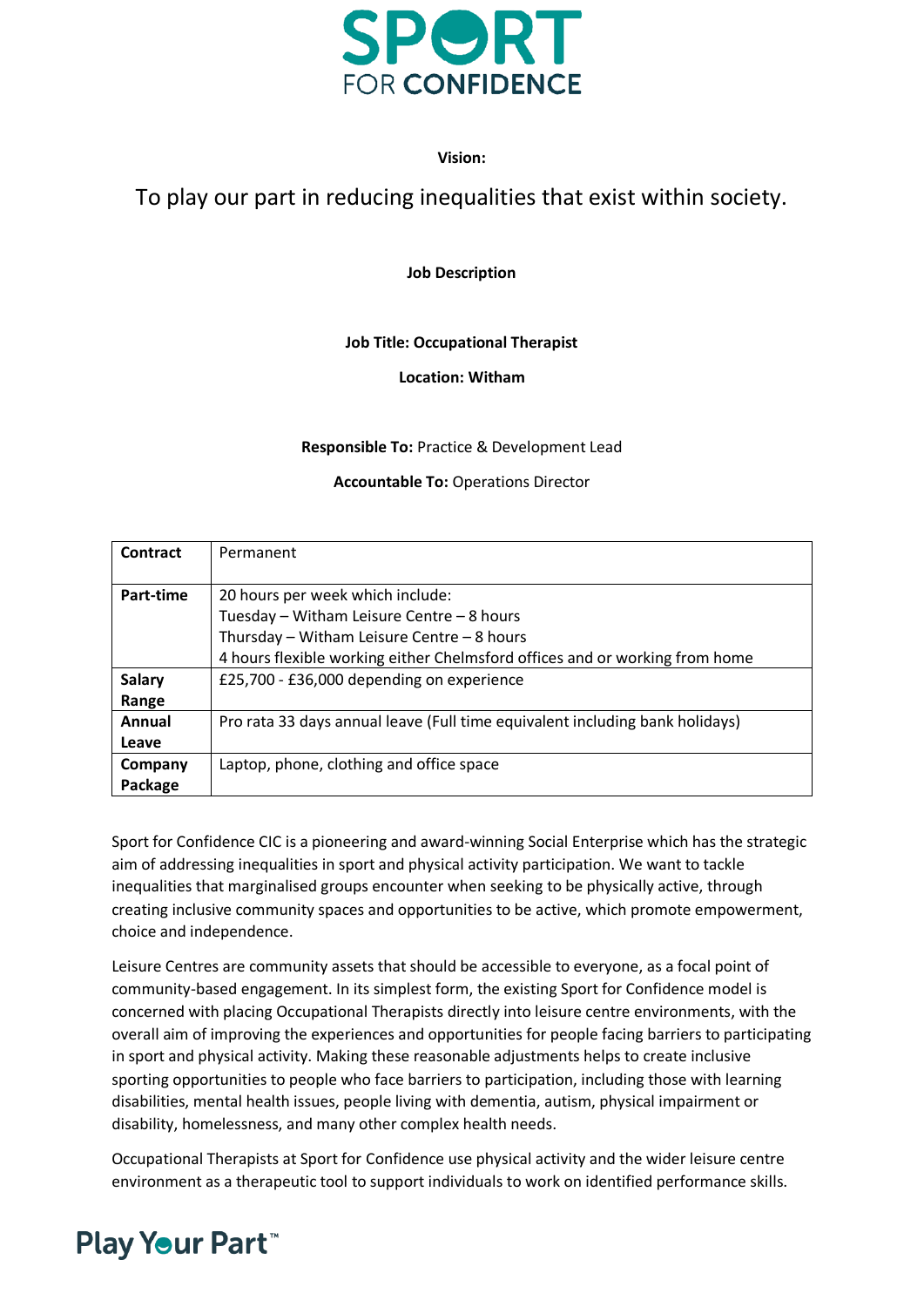

## **Vision:**

## To play our part in reducing inequalities that exist within society.

**Job Description**

## **Job Title: Occupational Therapist**

## **Location: Witham**

## **Responsible To:** Practice & Development Lead

## **Accountable To:** Operations Director

| Contract      | Permanent                                                                    |
|---------------|------------------------------------------------------------------------------|
|               |                                                                              |
| Part-time     | 20 hours per week which include:                                             |
|               | Tuesday - Witham Leisure Centre - 8 hours                                    |
|               | Thursday - Witham Leisure Centre - 8 hours                                   |
|               | 4 hours flexible working either Chelmsford offices and or working from home  |
| <b>Salary</b> | £25,700 - £36,000 depending on experience                                    |
| Range         |                                                                              |
| Annual        | Pro rata 33 days annual leave (Full time equivalent including bank holidays) |
| Leave         |                                                                              |
| Company       | Laptop, phone, clothing and office space                                     |
| Package       |                                                                              |

Sport for Confidence CIC is a pioneering and award-winning Social Enterprise which has the strategic aim of addressing inequalities in sport and physical activity participation. We want to tackle inequalities that marginalised groups encounter when seeking to be physically active, through creating inclusive community spaces and opportunities to be active, which promote empowerment, choice and independence.

Leisure Centres are community assets that should be accessible to everyone, as a focal point of community-based engagement. In its simplest form, the existing Sport for Confidence model is concerned with placing Occupational Therapists directly into leisure centre environments, with the overall aim of improving the experiences and opportunities for people facing barriers to participating in sport and physical activity. Making these reasonable adjustments helps to create inclusive sporting opportunities to people who face barriers to participation, including those with learning disabilities, mental health issues, people living with dementia, autism, physical impairment or disability, homelessness, and many other complex health needs.

Occupational Therapists at Sport for Confidence use physical activity and the wider leisure centre environment as a therapeutic tool to support individuals to work on identified performance skills.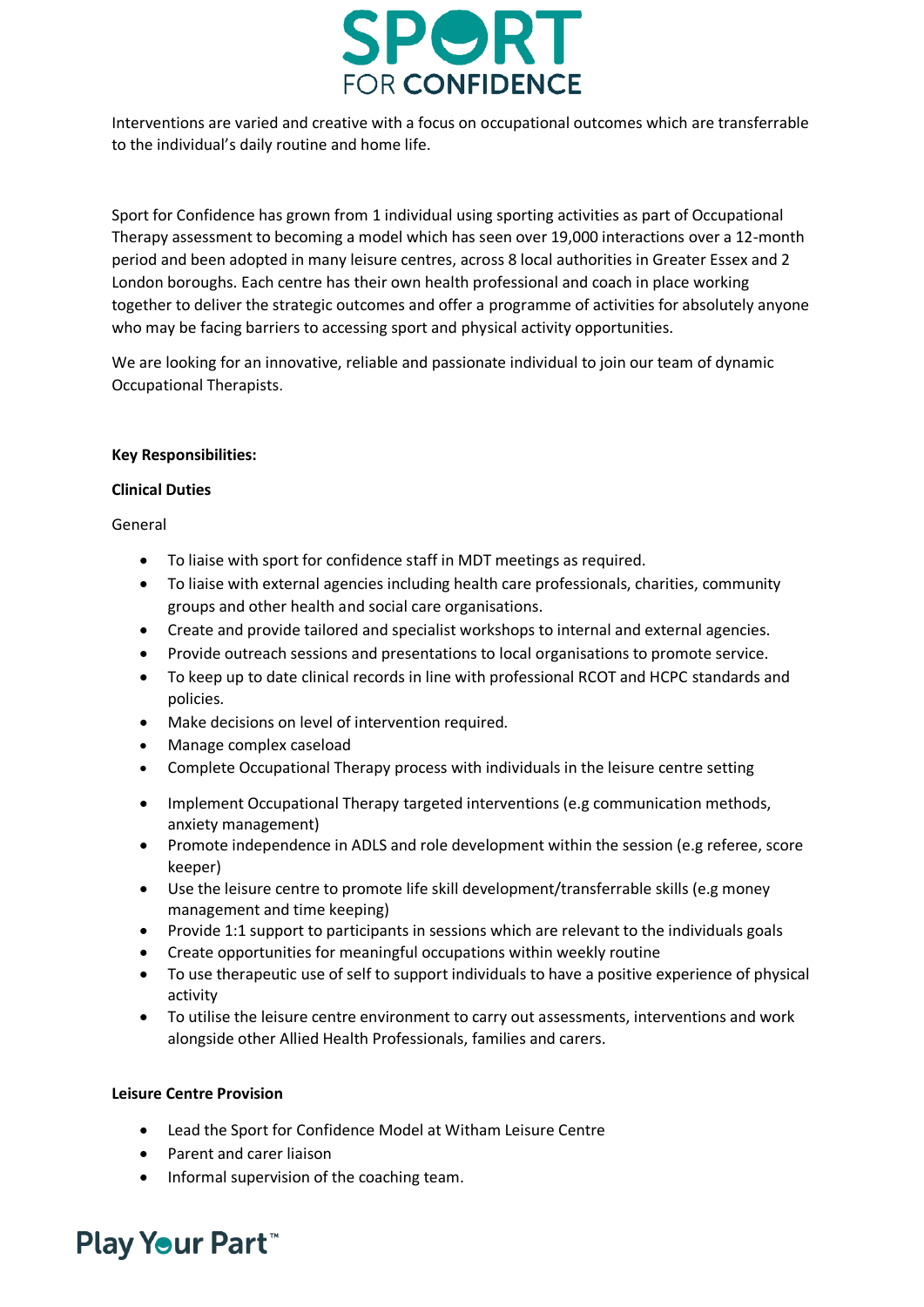

Interventions are varied and creative with a focus on occupational outcomes which are transferrable to the individual's daily routine and home life.

Sport for Confidence has grown from 1 individual using sporting activities as part of Occupational Therapy assessment to becoming a model which has seen over 19,000 interactions over a 12-month period and been adopted in many leisure centres, across 8 local authorities in Greater Essex and 2 London boroughs. Each centre has their own health professional and coach in place working together to deliver the strategic outcomes and offer a programme of activities for absolutely anyone who may be facing barriers to accessing sport and physical activity opportunities.

We are looking for an innovative, reliable and passionate individual to join our team of dynamic Occupational Therapists.

#### **Key Responsibilities:**

#### **Clinical Duties**

General

- To liaise with sport for confidence staff in MDT meetings as required.
- To liaise with external agencies including health care professionals, charities, community groups and other health and social care organisations.
- Create and provide tailored and specialist workshops to internal and external agencies.
- Provide outreach sessions and presentations to local organisations to promote service.
- To keep up to date clinical records in line with professional RCOT and HCPC standards and policies.
- Make decisions on level of intervention required.
- Manage complex caseload
- Complete Occupational Therapy process with individuals in the leisure centre setting
- Implement Occupational Therapy targeted interventions (e.g communication methods, anxiety management)
- Promote independence in ADLS and role development within the session (e.g referee, score keeper)
- Use the leisure centre to promote life skill development/transferrable skills (e.g money management and time keeping)
- Provide 1:1 support to participants in sessions which are relevant to the individuals goals
- Create opportunities for meaningful occupations within weekly routine
- To use therapeutic use of self to support individuals to have a positive experience of physical activity
- To utilise the leisure centre environment to carry out assessments, interventions and work alongside other Allied Health Professionals, families and carers.

## **Leisure Centre Provision**

- Lead the Sport for Confidence Model at Witham Leisure Centre
- Parent and carer liaison
- Informal supervision of the coaching team.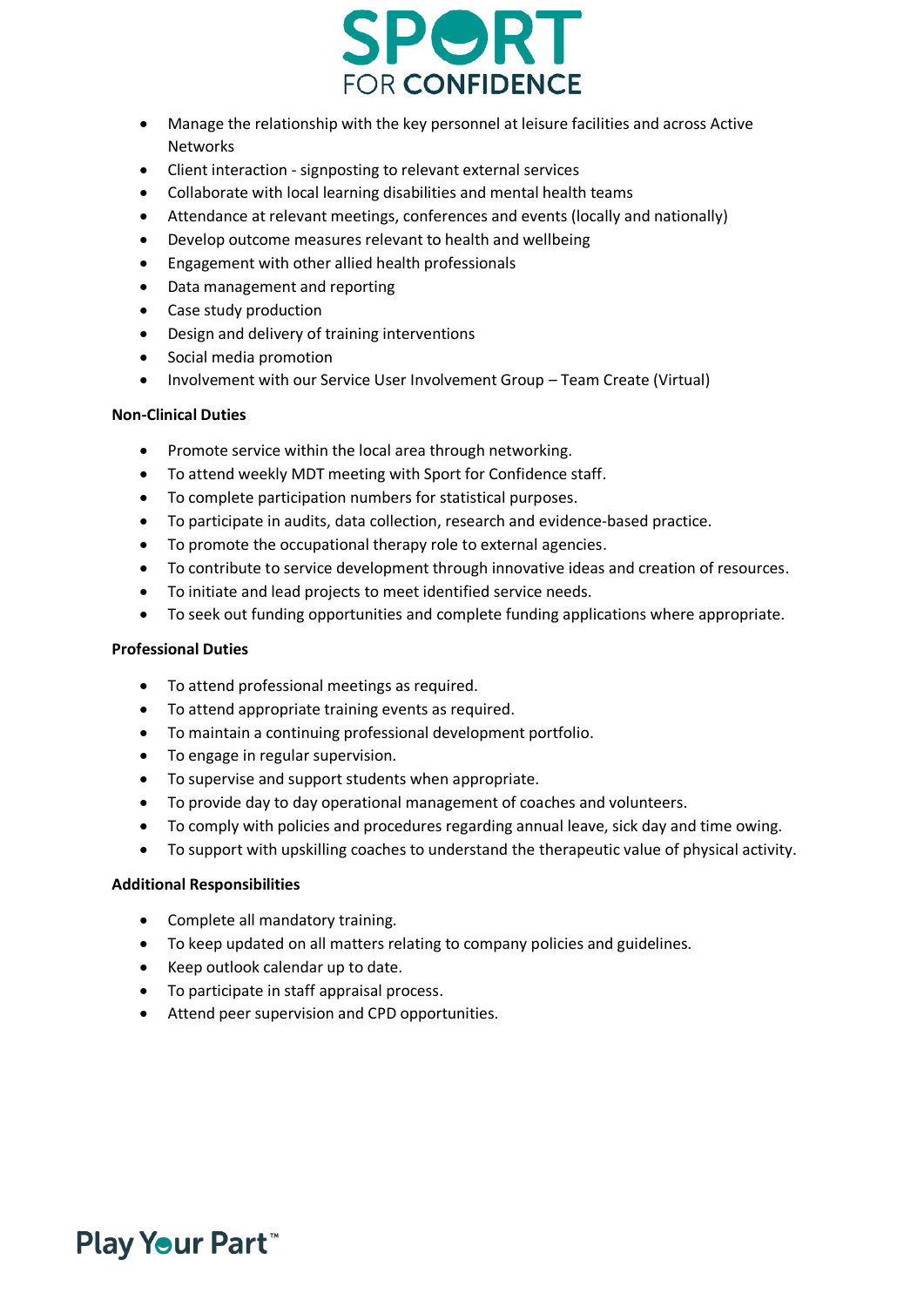

- Manage the relationship with the key personnel at leisure facilities and across Active Networks
- Client interaction signposting to relevant external services
- Collaborate with local learning disabilities and mental health teams
- Attendance at relevant meetings, conferences and events (locally and nationally)
- Develop outcome measures relevant to health and wellbeing
- Engagement with other allied health professionals
- Data management and reporting
- Case study production
- Design and delivery of training interventions
- Social media promotion
- Involvement with our Service User Involvement Group Team Create (Virtual)

## **Non-Clinical Duties**

- Promote service within the local area through networking.
- To attend weekly MDT meeting with Sport for Confidence staff.
- To complete participation numbers for statistical purposes.
- To participate in audits, data collection, research and evidence-based practice.
- To promote the occupational therapy role to external agencies.
- To contribute to service development through innovative ideas and creation of resources.
- To initiate and lead projects to meet identified service needs.
- To seek out funding opportunities and complete funding applications where appropriate.

## **Professional Duties**

- To attend professional meetings as required.
- To attend appropriate training events as required.
- To maintain a continuing professional development portfolio.
- To engage in regular supervision.
- To supervise and support students when appropriate.
- To provide day to day operational management of coaches and volunteers.
- To comply with policies and procedures regarding annual leave, sick day and time owing.
- To support with upskilling coaches to understand the therapeutic value of physical activity.

## **Additional Responsibilities**

- Complete all mandatory training.
- To keep updated on all matters relating to company policies and guidelines.
- Keep outlook calendar up to date.
- To participate in staff appraisal process.
- Attend peer supervision and CPD opportunities.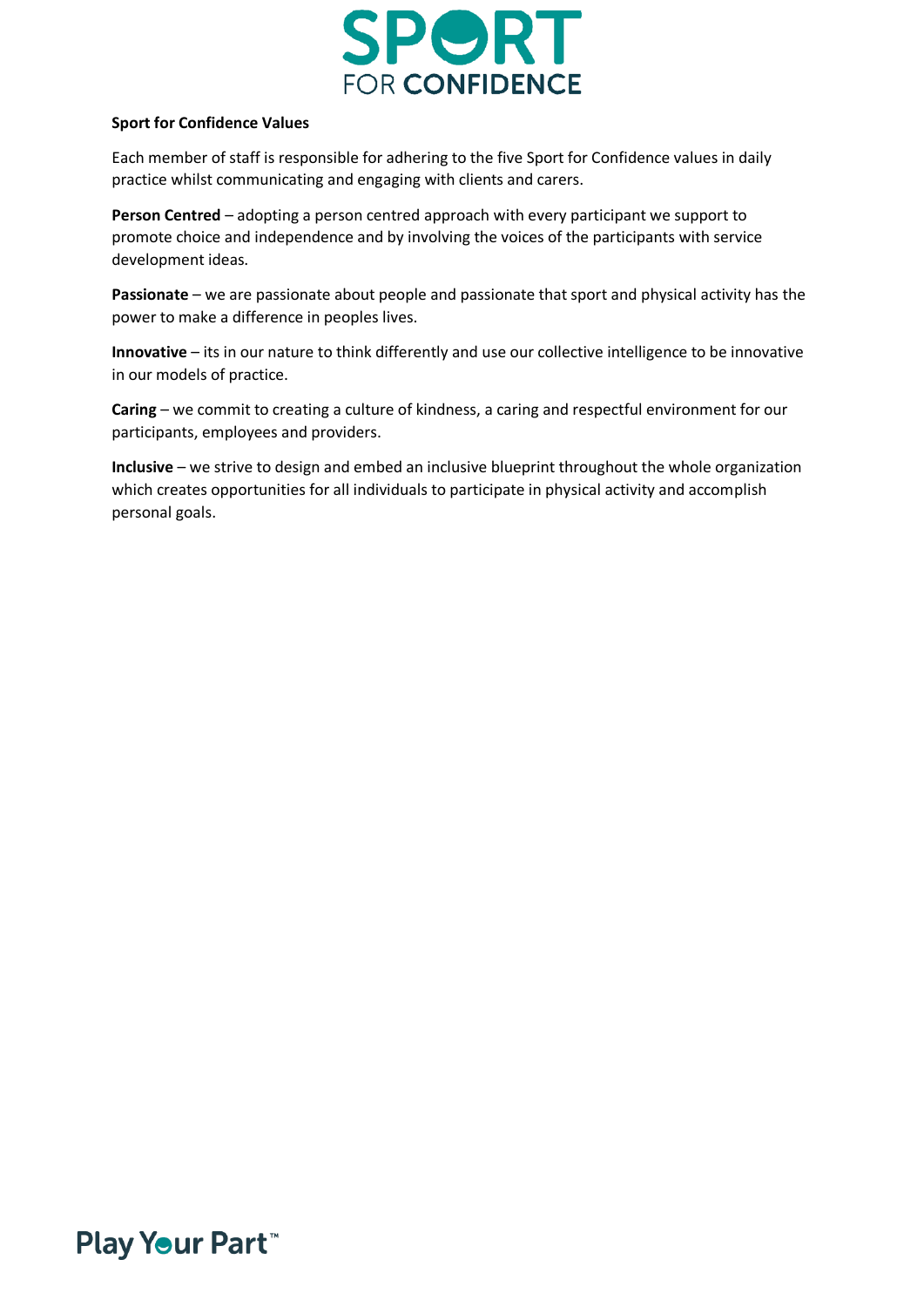

#### **Sport for Confidence Values**

Each member of staff is responsible for adhering to the five Sport for Confidence values in daily practice whilst communicating and engaging with clients and carers.

**Person Centred** – adopting a person centred approach with every participant we support to promote choice and independence and by involving the voices of the participants with service development ideas.

**Passionate** – we are passionate about people and passionate that sport and physical activity has the power to make a difference in peoples lives.

**Innovative** – its in our nature to think differently and use our collective intelligence to be innovative in our models of practice.

**Caring** – we commit to creating a culture of kindness, a caring and respectful environment for our participants, employees and providers.

**Inclusive** – we strive to design and embed an inclusive blueprint throughout the whole organization which creates opportunities for all individuals to participate in physical activity and accomplish personal goals.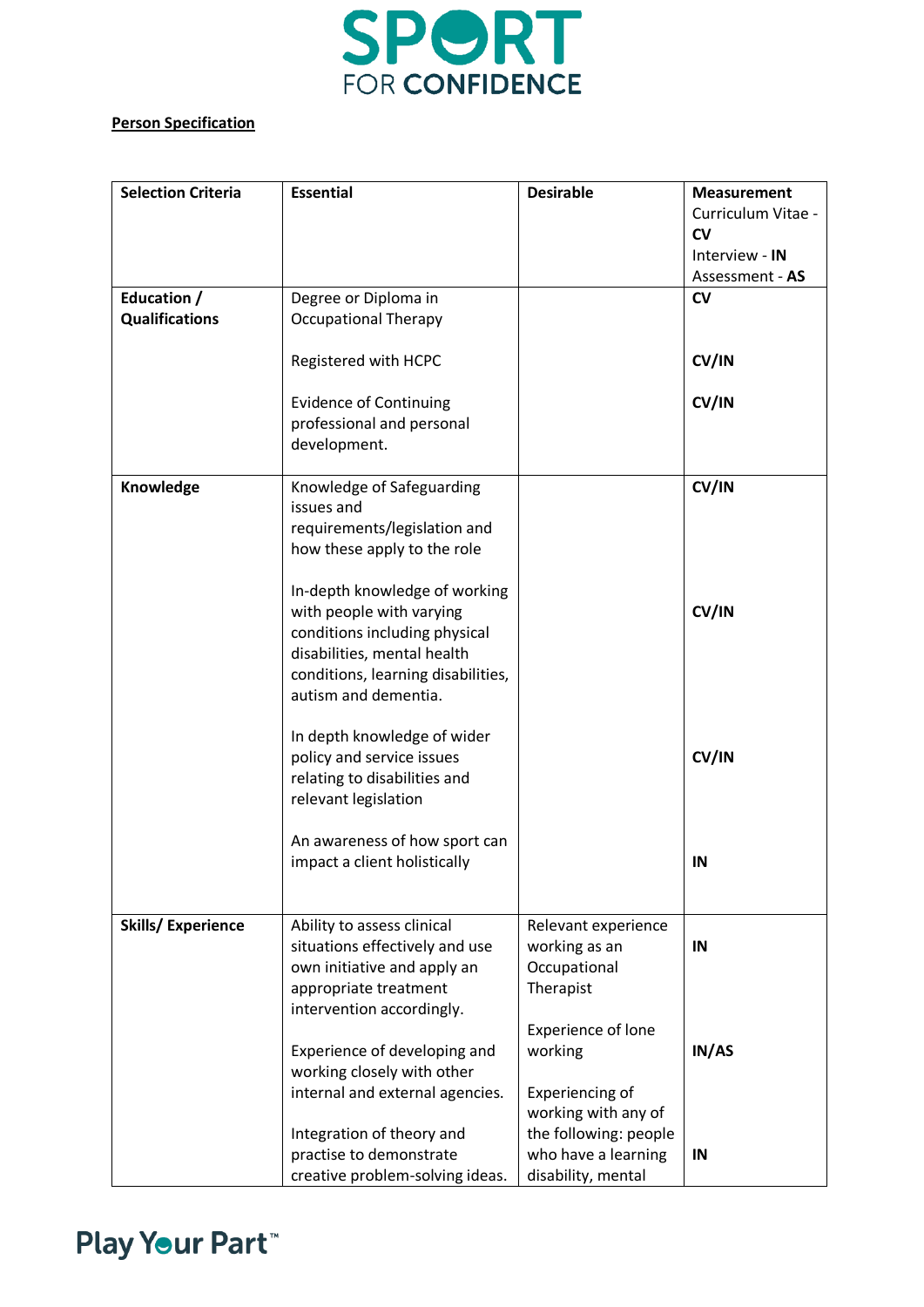

## **Person Specification**

| <b>Selection Criteria</b> | <b>Essential</b>                   | <b>Desirable</b>          | <b>Measurement</b> |
|---------------------------|------------------------------------|---------------------------|--------------------|
|                           |                                    |                           | Curriculum Vitae - |
|                           |                                    |                           | <b>CV</b>          |
|                           |                                    |                           | Interview - IN     |
|                           |                                    |                           | Assessment - AS    |
| Education /               | Degree or Diploma in               |                           | <b>CV</b>          |
| <b>Qualifications</b>     | <b>Occupational Therapy</b>        |                           |                    |
|                           | Registered with HCPC               |                           | CV/IN              |
|                           |                                    |                           |                    |
|                           | <b>Evidence of Continuing</b>      |                           | CV/IN              |
|                           | professional and personal          |                           |                    |
|                           | development.                       |                           |                    |
| Knowledge                 | Knowledge of Safeguarding          |                           | CV/IN              |
|                           | issues and                         |                           |                    |
|                           | requirements/legislation and       |                           |                    |
|                           | how these apply to the role        |                           |                    |
|                           |                                    |                           |                    |
|                           | In-depth knowledge of working      |                           |                    |
|                           | with people with varying           |                           | CV/IN              |
|                           | conditions including physical      |                           |                    |
|                           | disabilities, mental health        |                           |                    |
|                           | conditions, learning disabilities, |                           |                    |
|                           | autism and dementia.               |                           |                    |
|                           | In depth knowledge of wider        |                           |                    |
|                           | policy and service issues          |                           | CV/IN              |
|                           | relating to disabilities and       |                           |                    |
|                           | relevant legislation               |                           |                    |
|                           |                                    |                           |                    |
|                           | An awareness of how sport can      |                           |                    |
|                           | impact a client holistically       |                           | IN                 |
|                           |                                    |                           |                    |
| <b>Skills/Experience</b>  | Ability to assess clinical         | Relevant experience       |                    |
|                           | situations effectively and use     | working as an             | IN                 |
|                           | own initiative and apply an        | Occupational              |                    |
|                           | appropriate treatment              | Therapist                 |                    |
|                           | intervention accordingly.          |                           |                    |
|                           |                                    | <b>Experience of lone</b> |                    |
|                           | Experience of developing and       | working                   | IN/AS              |
|                           | working closely with other         |                           |                    |
|                           | internal and external agencies.    | Experiencing of           |                    |
|                           |                                    | working with any of       |                    |
|                           | Integration of theory and          | the following: people     |                    |
|                           | practise to demonstrate            | who have a learning       | IN                 |
|                           | creative problem-solving ideas.    | disability, mental        |                    |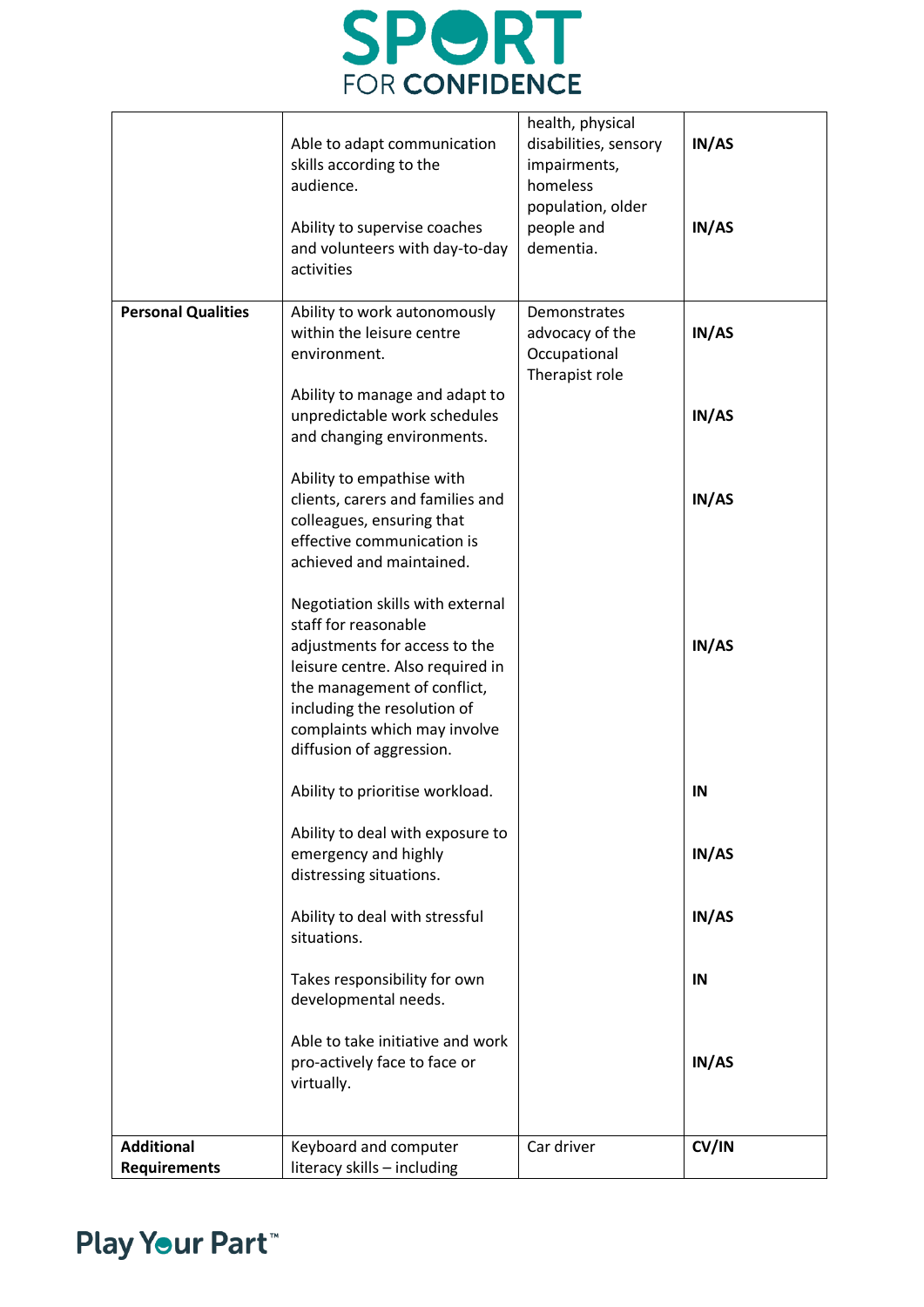# **SPORT**<br>FOR CONFIDENCE

|                                          | Able to adapt communication<br>skills according to the<br>audience.<br>Ability to supervise coaches<br>and volunteers with day-to-day<br>activities                                                                                                     | health, physical<br>disabilities, sensory<br>impairments,<br>homeless<br>population, older<br>people and<br>dementia. | IN/AS<br>IN/AS |
|------------------------------------------|---------------------------------------------------------------------------------------------------------------------------------------------------------------------------------------------------------------------------------------------------------|-----------------------------------------------------------------------------------------------------------------------|----------------|
| <b>Personal Qualities</b>                | Ability to work autonomously<br>within the leisure centre<br>environment.                                                                                                                                                                               | Demonstrates<br>advocacy of the<br>Occupational<br>Therapist role                                                     | IN/AS          |
|                                          | Ability to manage and adapt to<br>unpredictable work schedules<br>and changing environments.                                                                                                                                                            |                                                                                                                       | IN/AS          |
|                                          | Ability to empathise with<br>clients, carers and families and<br>colleagues, ensuring that<br>effective communication is<br>achieved and maintained.                                                                                                    |                                                                                                                       | IN/AS          |
|                                          | Negotiation skills with external<br>staff for reasonable<br>adjustments for access to the<br>leisure centre. Also required in<br>the management of conflict,<br>including the resolution of<br>complaints which may involve<br>diffusion of aggression. |                                                                                                                       | IN/AS          |
|                                          | Ability to prioritise workload.                                                                                                                                                                                                                         |                                                                                                                       | IN             |
|                                          | Ability to deal with exposure to<br>emergency and highly<br>distressing situations.                                                                                                                                                                     |                                                                                                                       | IN/AS          |
|                                          | Ability to deal with stressful<br>situations.                                                                                                                                                                                                           |                                                                                                                       | IN/AS          |
|                                          | Takes responsibility for own<br>developmental needs.                                                                                                                                                                                                    |                                                                                                                       | IN             |
|                                          | Able to take initiative and work<br>pro-actively face to face or<br>virtually.                                                                                                                                                                          |                                                                                                                       | IN/AS          |
| <b>Additional</b><br><b>Requirements</b> | Keyboard and computer<br>literacy skills - including                                                                                                                                                                                                    | Car driver                                                                                                            | CV/IN          |